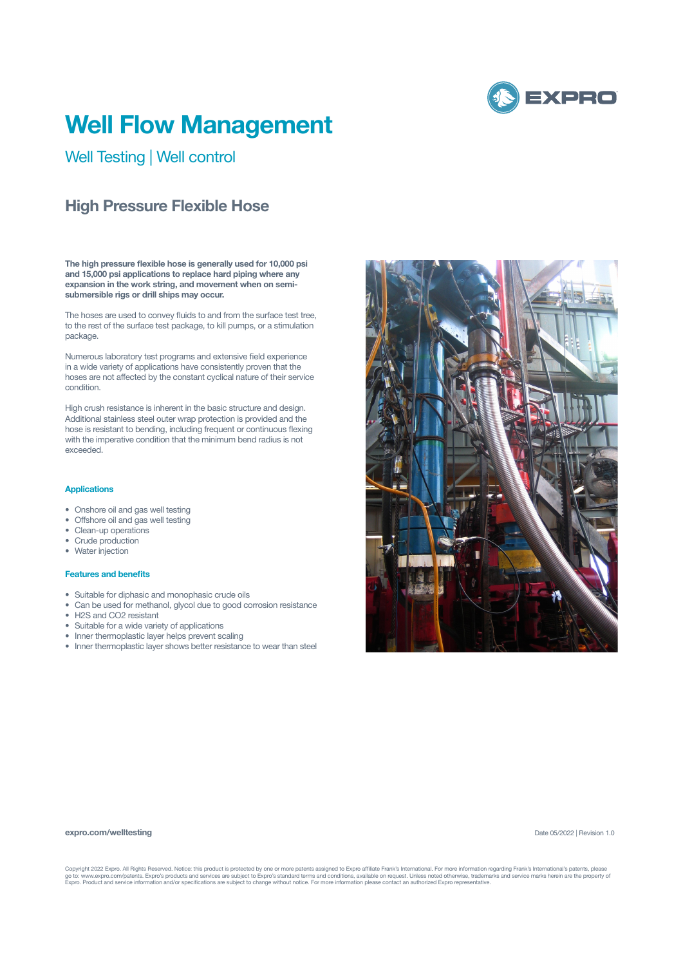

# **Well Flow Management**

Well Testing | Well control

## **High Pressure Flexible Hose**

**The high pressure flexible hose is generally used for 10,000 psi and 15,000 psi applications to replace hard piping where any expansion in the work string, and movement when on semisubmersible rigs or drill ships may occur.**

The hoses are used to convey fluids to and from the surface test tree, to the rest of the surface test package, to kill pumps, or a stimulation package.

Numerous laboratory test programs and extensive field experience in a wide variety of applications have consistently proven that the hoses are not affected by the constant cyclical nature of their service condition.

High crush resistance is inherent in the basic structure and design. Additional stainless steel outer wrap protection is provided and the hose is resistant to bending, including frequent or continuous flexing with the imperative condition that the minimum bend radius is not exceeded.

#### **Applications**

- Onshore oil and gas well testing
- Offshore oil and gas well testing
- Clean-up operations
- Crude production
- Water injection

### **Features and benefits**

- Suitable for diphasic and monophasic crude oils
- Can be used for methanol, glycol due to good corrosion resistance
- H2S and CO2 resistant
- Suitable for a wide variety of applications
- Inner thermoplastic layer helps prevent scaling
- Inner thermoplastic layer shows better resistance to wear than steel



#### **expro.com/welltesting**

Date 05/2022 | Revision 1.0

Copyright 2022 Expro. All Rights Reserved. Notice: this product is protected by one or more patents assigned to Expro affiliate Frank's International. For more information regarding Frank's International's patents, please<br>